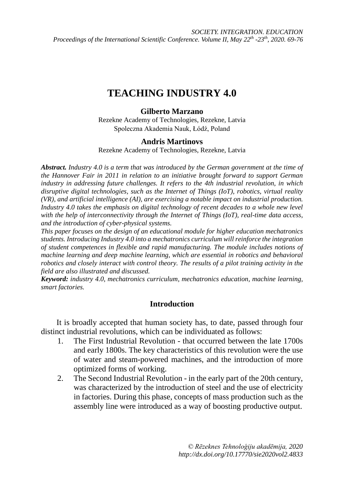# **TEACHING INDUSTRY 4.0**

### **Gilberto Marzano**

Rezekne Academy of Technologies, Rezekne, Latvia Spoleczna Akademia Nauk, Łódź, Poland

### **Andris Martinovs**

Rezekne Academy of Technologies, Rezekne, Latvia

*Abstract. Industry 4.0 is a term that was introduced by the German government at the time of the Hannover Fair in 2011 in relation to an initiative brought forward to support German industry in addressing future challenges. It refers to the 4th industrial revolution, in which disruptive digital technologies, such as the Internet of Things (IoT), robotics, virtual reality (VR), and artificial intelligence (AI), are exercising a notable impact on industrial production. Industry 4.0 takes the emphasis on digital technology of recent decades to a whole new level with the help of interconnectivity through the Internet of Things (IoT), real-time data access, and the introduction of cyber-physical systems.*

*This paper focuses on the design of an educational module for higher education mechatronics students. Introducing Industry 4.0 into a mechatronics curriculum will reinforce the integration of student competences in flexible and rapid manufacturing. The module includes notions of machine learning and deep machine learning, which are essential in robotics and behavioral robotics and closely interact with control theory. The results of a pilot training activity in the field are also illustrated and discussed.*

*Keyword: industry 4.0, mechatronics curriculum, mechatronics education, machine learning, smart factories.*

## **Introduction**

It is broadly accepted that human society has, to date, passed through four distinct industrial revolutions, which can be individuated as follows:

- 1. The First Industrial Revolution that occurred between the late 1700s and early 1800s. The key characteristics of this revolution were the use of water and steam-powered machines, and the introduction of more optimized forms of working.
- 2. The Second Industrial Revolution in the early part of the 20th century, was characterized by the introduction of steel and the use of electricity in factories. During this phase, concepts of mass production such as the assembly line were introduced as a way of boosting productive output.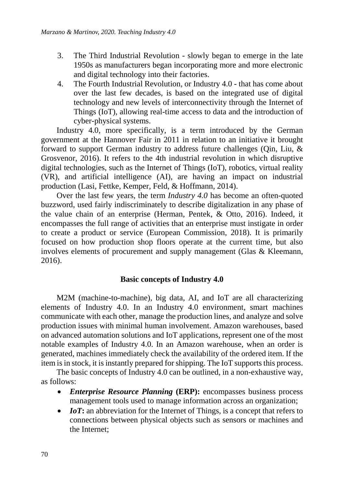- 3. The Third Industrial Revolution slowly began to emerge in the late 1950s as manufacturers began incorporating more and more electronic and digital technology into their factories.
- 4. The Fourth Industrial Revolution, or Industry 4.0 that has come about over the last few decades, is based on the integrated use of digital technology and new levels of interconnectivity through the Internet of Things (IoT), allowing real-time access to data and the introduction of cyber-physical systems.

Industry 4.0, more specifically, is a term introduced by the German government at the Hannover Fair in 2011 in relation to an initiative it brought forward to support German industry to address future challenges (Qin, Liu, & Grosvenor, 2016). It refers to the 4th industrial revolution in which disruptive digital technologies, such as the Internet of Things (IoT), robotics, virtual reality (VR), and artificial intelligence (AI), are having an impact on industrial production (Lasi, Fettke, Kemper, Feld, & Hoffmann, 2014).

Over the last few years, the term *Industry 4.0* has become an often-quoted buzzword, used fairly indiscriminately to describe digitalization in any phase of the value chain of an enterprise (Herman, Pentek, & Otto, 2016). Indeed, it encompasses the full range of activities that an enterprise must instigate in order to create a product or service (European Commission, 2018). It is primarily focused on how production shop floors operate at the current time, but also involves elements of procurement and supply management (Glas & Kleemann, 2016).

#### **Basic concepts of Industry 4.0**

M2M (machine-to-machine), big data, AI, and IoT are all characterizing elements of Industry 4.0. In an Industry 4.0 environment, smart machines communicate with each other, manage the production lines, and analyze and solve production issues with minimal human involvement. Amazon warehouses, based on advanced automation solutions and IoT applications, represent one of the most notable examples of Industry 4.0. In an Amazon warehouse, when an order is generated, machines immediately check the availability of the ordered item. If the item is in stock, it is instantly prepared for shipping. The IoT supports this process.

The basic concepts of Industry 4.0 can be outlined, in a non-exhaustive way, as follows:

- *Enterprise Resource Planning* **(ERP):** encompasses business process management tools used to manage information across an organization;
- *IoT*: an abbreviation for the Internet of Things, is a concept that refers to connections between physical objects such as sensors or machines and the Internet;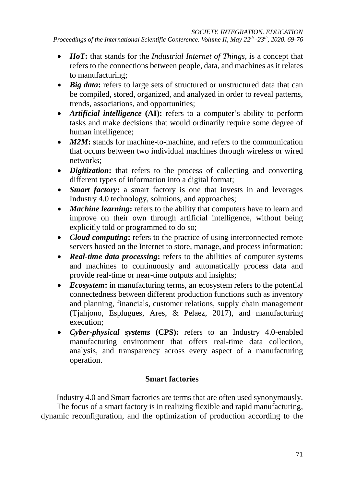- *IIoT***:** that stands for the *Industrial Internet of Things*, is a concept that refers to the connections between people, data, and machines as it relates to manufacturing;
- *Big data*: refers to large sets of structured or unstructured data that can be compiled, stored, organized, and analyzed in order to reveal patterns, trends, associations, and opportunities;
- *Artificial intelligence* **(AI):** refers to a computer's ability to perform tasks and make decisions that would ordinarily require some degree of human intelligence;
- *M2M*: stands for machine-to-machine, and refers to the communication that occurs between two individual machines through wireless or wired networks;
- *Digitization*: that refers to the process of collecting and converting different types of information into a digital format;
- *Smart factory*: a smart factory is one that invests in and leverages Industry 4.0 technology, solutions, and approaches;
- *Machine learning*: refers to the ability that computers have to learn and improve on their own through artificial intelligence, without being explicitly told or programmed to do so;
- *Cloud computing***:** refers to the practice of using interconnected remote servers hosted on the Internet to store, manage, and process information;
- *Real-time data processing*: refers to the abilities of computer systems and machines to continuously and automatically process data and provide real-time or near-time outputs and insights;
- *Ecosystem***:** in manufacturing terms, an ecosystem refers to the potential connectedness between different production functions such as inventory and planning, financials, customer relations, supply chain management (Tjahjono, Esplugues, Ares, & Pelaez, 2017), and manufacturing execution;
- *Cyber-physical systems* **(CPS):** refers to an Industry 4.0-enabled manufacturing environment that offers real-time data collection, analysis, and transparency across every aspect of a manufacturing operation.

## **Smart factories**

Industry 4.0 and Smart factories are terms that are often used synonymously.

The focus of a smart factory is in realizing flexible and rapid manufacturing, dynamic reconfiguration, and the optimization of production according to the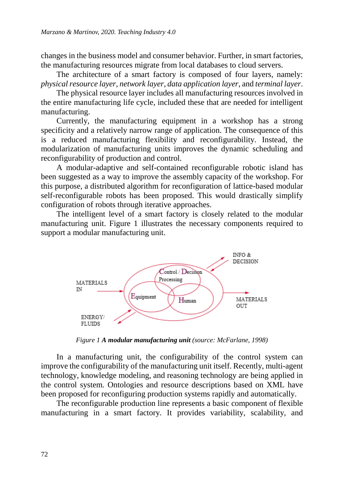changes in the business model and consumer behavior. Further, in smart factories, the manufacturing resources migrate from local databases to cloud servers.

The architecture of a smart factory is composed of four layers, namely: *physical resource layer*, *network layer*, *data application layer*, and *terminal layer*.

The physical resource layer includes all manufacturing resources involved in the entire manufacturing life cycle, included these that are needed for intelligent manufacturing.

Currently, the manufacturing equipment in a workshop has a strong specificity and a relatively narrow range of application. The consequence of this is a reduced manufacturing flexibility and reconfigurability. Instead, the modularization of manufacturing units improves the dynamic scheduling and reconfigurability of production and control.

A modular-adaptive and self-contained reconfigurable robotic island has been suggested as a way to improve the assembly capacity of the workshop. For this purpose, a distributed algorithm for reconfiguration of lattice-based modular self-reconfigurable robots has been proposed. This would drastically simplify configuration of robots through iterative approaches.

The intelligent level of a smart factory is closely related to the modular manufacturing unit. Figure 1 illustrates the necessary components required to support a modular manufacturing unit.



*Figure 1 A modular manufacturing unit (source: McFarlane, 1998)*

In a manufacturing unit, the configurability of the control system can improve the configurability of the manufacturing unit itself. Recently, multi-agent technology, knowledge modeling, and reasoning technology are being applied in the control system. Ontologies and resource descriptions based on XML have been proposed for reconfiguring production systems rapidly and automatically.

The reconfigurable production line represents a basic component of flexible manufacturing in a smart factory. It provides variability, scalability, and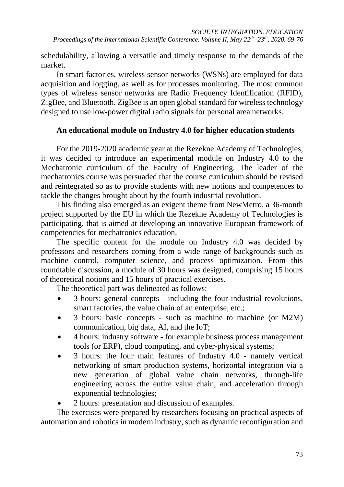schedulability, allowing a versatile and timely response to the demands of the market.

In smart factories, wireless sensor networks (WSNs) are employed for data acquisition and logging, as well as for processes monitoring. The most common types of wireless sensor networks are Radio Frequency Identification (RFID), ZigBee, and Bluetooth. ZigBee is an open global standard for wireless technology designed to use low-power digital radio signals for personal area networks.

### **An educational module on Industry 4.0 for higher education students**

For the 2019-2020 academic year at the Rezekne Academy of Technologies, it was decided to introduce an experimental module on Industry 4.0 to the Mechatronic curriculum of the Faculty of Engineering. The leader of the mechatronics course was persuaded that the course curriculum should be revised and reintegrated so as to provide students with new notions and competences to tackle the changes brought about by the fourth industrial revolution.

This finding also emerged as an exigent theme from NewMetro, a 36-month project supported by the EU in which the Rezekne Academy of Technologies is participating, that is aimed at developing an innovative European framework of competencies for mechatronics education.

The specific content for the module on Industry 4.0 was decided by professors and researchers coming from a wide range of backgrounds such as machine control, computer science, and process optimization. From this roundtable discussion, a module of 30 hours was designed, comprising 15 hours of theoretical notions and 15 hours of practical exercises.

The theoretical part was delineated as follows:

- 3 hours: general concepts including the four industrial revolutions, smart factories, the value chain of an enterprise, etc.;
- 3 hours: basic concepts such as machine to machine (or M2M) communication, big data, AI, and the IoT;
- 4 hours: industry software for example business process management tools (or ERP), cloud computing, and cyber-physical systems;
- 3 hours: the four main features of Industry 4.0 namely vertical networking of smart production systems, horizontal integration via a new generation of global value chain networks, through-life engineering across the entire value chain, and acceleration through exponential technologies;
- 2 hours: presentation and discussion of examples.

The exercises were prepared by researchers focusing on practical aspects of automation and robotics in modern industry, such as dynamic reconfiguration and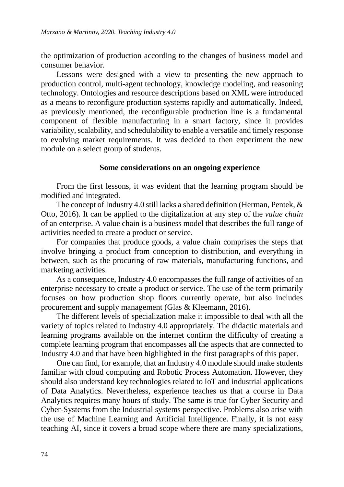the optimization of production according to the changes of business model and consumer behavior.

Lessons were designed with a view to presenting the new approach to production control, multi-agent technology, knowledge modeling, and reasoning technology. Ontologies and resource descriptions based on XML were introduced as a means to reconfigure production systems rapidly and automatically. Indeed, as previously mentioned, the reconfigurable production line is a fundamental component of flexible manufacturing in a smart factory, since it provides variability, scalability, and schedulability to enable a versatile and timely response to evolving market requirements. It was decided to then experiment the new module on a select group of students.

#### **Some considerations on an ongoing experience**

From the first lessons, it was evident that the learning program should be modified and integrated.

The concept of Industry 4.0 still lacks a shared definition (Herman, Pentek, & Otto, 2016). It can be applied to the digitalization at any step of the *value chain* of an enterprise. A value chain is a business model that describes the full range of activities needed to create a product or service.

For companies that produce goods, a value chain comprises the steps that involve bringing a product from conception to distribution, and everything in between, such as the procuring of raw materials, manufacturing functions, and marketing activities.

As a consequence, Industry 4.0 encompasses the full range of activities of an enterprise necessary to create a product or service. The use of the term primarily focuses on how production shop floors currently operate, but also includes procurement and supply management (Glas & Kleemann, 2016).

The different levels of specialization make it impossible to deal with all the variety of topics related to Industry 4.0 appropriately. The didactic materials and learning programs available on the internet confirm the difficulty of creating a complete learning program that encompasses all the aspects that are connected to Industry 4.0 and that have been highlighted in the first paragraphs of this paper.

One can find, for example, that an Industry 4.0 module should make students familiar with cloud computing and Robotic Process Automation. However, they should also understand key technologies related to IoT and industrial applications of Data Analytics. Nevertheless, experience teaches us that a course in Data Analytics requires many hours of study. The same is true for Cyber Security and Cyber-Systems from the Industrial systems perspective. Problems also arise with the use of Machine Learning and Artificial Intelligence. Finally, it is not easy teaching AI, since it covers a broad scope where there are many specializations,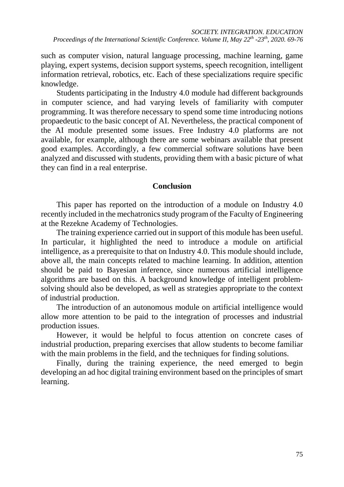such as computer vision, natural language processing, machine learning, game playing, expert systems, decision support systems, speech recognition, intelligent information retrieval, robotics, etc. Each of these specializations require specific knowledge.

Students participating in the Industry 4.0 module had different backgrounds in computer science, and had varying levels of familiarity with computer programming. It was therefore necessary to spend some time introducing notions propaedeutic to the basic concept of AI. Nevertheless, the practical component of the AI module presented some issues. Free Industry 4.0 platforms are not available, for example, although there are some webinars available that present good examples. Accordingly, a few commercial software solutions have been analyzed and discussed with students, providing them with a basic picture of what they can find in a real enterprise.

### **Conclusion**

This paper has reported on the introduction of a module on Industry 4.0 recently included in the mechatronics study program of the Faculty of Engineering at the Rezekne Academy of Technologies.

The training experience carried out in support of this module has been useful. In particular, it highlighted the need to introduce a module on artificial intelligence, as a prerequisite to that on Industry 4.0. This module should include, above all, the main concepts related to machine learning. In addition, attention should be paid to Bayesian inference, since numerous artificial intelligence algorithms are based on this. A background knowledge of intelligent problemsolving should also be developed, as well as strategies appropriate to the context of industrial production.

The introduction of an autonomous module on artificial intelligence would allow more attention to be paid to the integration of processes and industrial production issues.

However, it would be helpful to focus attention on concrete cases of industrial production, preparing exercises that allow students to become familiar with the main problems in the field, and the techniques for finding solutions.

Finally, during the training experience, the need emerged to begin developing an ad hoc digital training environment based on the principles of smart learning.